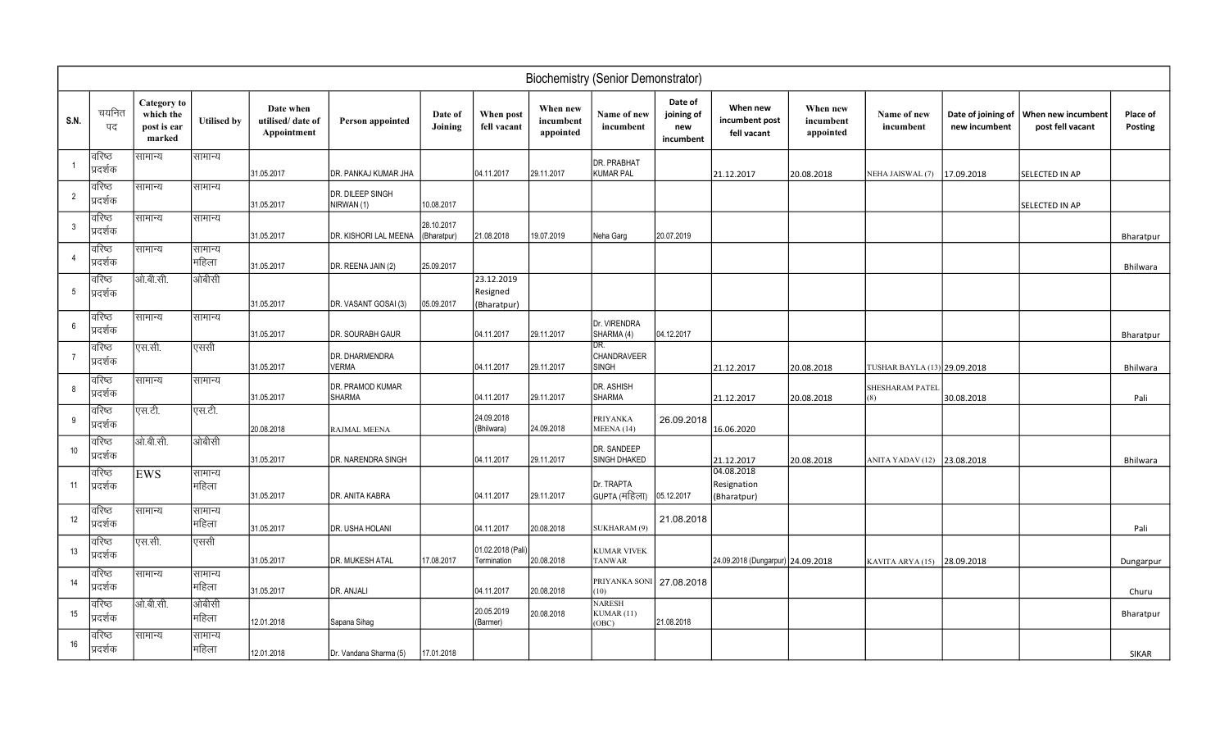| <b>Biochemistry (Senior Demonstrator)</b> |                     |                                                          |                    |                                              |                                |                           |                                       |                                    |                                      |                                           |                                           |                                    |                              |                                     |                                        |                     |
|-------------------------------------------|---------------------|----------------------------------------------------------|--------------------|----------------------------------------------|--------------------------------|---------------------------|---------------------------------------|------------------------------------|--------------------------------------|-------------------------------------------|-------------------------------------------|------------------------------------|------------------------------|-------------------------------------|----------------------------------------|---------------------|
| <b>S.N.</b>                               | चयनित<br>पद         | <b>Category</b> to<br>which the<br>post is ear<br>marked | <b>Utilised by</b> | Date when<br>utilised/date of<br>Appointment | Person appointed               | Date of<br>Joining        | When post<br>fell vacant              | When new<br>incumbent<br>appointed | Name of new<br>incumbent             | Date of<br>joining of<br>new<br>incumbent | When new<br>incumbent post<br>fell vacant | When new<br>incumbent<br>appointed | Name of new<br>incumbent     | Date of joining of<br>new incumbent | When new incumbent<br>post fell vacant | Place of<br>Posting |
|                                           | वरिष्ठ<br>प्रदर्शक  | सामान्य                                                  | सामान्य            | 31.05.2017                                   | DR. PANKAJ KUMAR JHA           |                           | 04.11.2017                            | 29.11.2017                         | DR. PRABHAT<br><b>KUMAR PAL</b>      |                                           | 21.12.2017                                | 20.08.2018                         | NEHA JAISWAL (7)             | 17.09.2018                          | SELECTED IN AP                         |                     |
| $\overline{2}$                            | वरिष्ठ<br>प्रदर्शक  | सामान्य                                                  | सामान्य            | 31.05.2017                                   | DR. DILEEP SINGH<br>NIRWAN (1) | 10.08.2017                |                                       |                                    |                                      |                                           |                                           |                                    |                              |                                     | SELECTED IN AP                         |                     |
| $\mathbf{3}$                              | वरिष्ठ<br>प्रदर्शक  | सामान्य                                                  | सामान्य            | 31.05.2017                                   | DR. KISHORI LAL MEENA          | 28.10.2017<br>(Bharatpur) | 21.08.2018                            | 19.07.2019                         | Neha Garg                            | 20.07.2019                                |                                           |                                    |                              |                                     |                                        | Bharatpur           |
| $\overline{4}$                            | वरिष्ठ<br>प्रदर्शक  | सामान्य                                                  | सामान्य<br> महिला  | 31.05.2017                                   | DR. REENA JAIN (2)             | 25.09.2017                |                                       |                                    |                                      |                                           |                                           |                                    |                              |                                     |                                        | Bhilwara            |
| $5\overline{)}$                           | वरिष्ठ<br>प्रदर्शक  | ओ.बी.सी.                                                 | ओबीसी              | 31.05.2017                                   | DR. VASANT GOSAI (3)           | 05.09.2017                | 23.12.2019<br>Resigned<br>(Bharatpur) |                                    |                                      |                                           |                                           |                                    |                              |                                     |                                        |                     |
| 6                                         | वरिष्ठ<br>प्रदर्शक  | सामान्य                                                  | सामान्य            | 31.05.2017                                   | DR. SOURABH GAUR               |                           | 04.11.2017                            | 29.11.2017                         | Dr. VIRENDRA<br>SHARMA (4)           | 04.12.2017                                |                                           |                                    |                              |                                     |                                        | Bharatpur           |
| 7                                         | वरिष्ठ<br>प्रदर्शक  | एस.सी.                                                   | एससी               | 31.05.2017                                   | DR. DHARMENDRA<br><b>VERMA</b> |                           | 04.11.2017                            | 29.11.2017                         | DR.<br>CHANDRAVEER<br><b>SINGH</b>   |                                           | 21.12.2017                                | 20.08.2018                         | TUSHAR BAYLA (13) 29.09.2018 |                                     |                                        | Bhilwara            |
| 8                                         | वरिष्ठ<br>प्रदर्शक  | सामान्य                                                  | सामान्य            | 31.05.2017                                   | DR. PRAMOD KUMAR<br>SHARMA     |                           | 04.11.2017                            | 29.11.2017                         | DR. ASHISH<br><b>SHARMA</b>          |                                           | 21.12.2017                                | 20.08.2018                         | SHESHARAM PATEI<br>(8)       | 30.08.2018                          |                                        | Pali                |
| 9                                         | वरिष्ठ<br>प्रदर्शक  | एस.टी.                                                   | एस.टी.             | 20.08.2018                                   | RAJMAL MEENA                   |                           | 24.09.2018<br>(Bhilwara)              | 24.09.2018                         | <b>PRIYANKA</b><br>MEENA (14)        | 26.09.2018                                | 16.06.2020                                |                                    |                              |                                     |                                        |                     |
| 10 <sup>°</sup>                           | वरिष्ठ<br>प्रदर्शक  | ओ.बी.सी.                                                 | ओबीसी              | 31.05.2017                                   | DR. NARENDRA SINGH             |                           | 04.11.2017                            | 29.11.2017                         | DR. SANDEEP<br>SINGH DHAKED          |                                           | 21.12.2017                                | 20.08.2018                         | ANITA YADAV (12) 23.08.2018  |                                     |                                        | Bhilwara            |
| 11                                        | वरिष्ठ<br>प्रदर्शक  | EWS                                                      | सामान्य<br> महिला  | 31.05.2017                                   | DR. ANITA KABRA                |                           | 04.11.2017                            | 29.11.2017                         | Dr. TRAPTA<br>GUPTA (महिला)          | 05.12.2017                                | 04.08.2018<br>Resignation<br>(Bharatpur)  |                                    |                              |                                     |                                        |                     |
| 12                                        | वरिष्ठ<br>प्रदर्शक  | सामान्य                                                  | सामान्य<br> महिला  | 31.05.2017                                   | DR. USHA HOLANI                |                           | 04.11.2017                            | 20.08.2018                         | SUKHARAM (9)                         | 21.08.2018                                |                                           |                                    |                              |                                     |                                        | Pali                |
| 13                                        | वरिष्ठ<br>'प्रदर्शक | एस.सी.                                                   | एससी               | 31.05.2017                                   | DR. MUKESH ATAL                | 17.08.2017                | 01.02.2018 (Pali<br>Termination       | 20.08.2018                         | <b>KUMAR VIVEK</b><br><b>TANWAR</b>  |                                           | 24.09.2018 (Dungarpur) 24.09.2018         |                                    | KAVITA ARYA (15) 28.09.2018  |                                     |                                        | Dungarpur           |
| 14                                        | वरिष्ठ<br>प्रदर्शक  | सामान्य                                                  | सामान्य<br> महिला  | 31.05.2017                                   | DR. ANJALI                     |                           | 04.11.2017                            | 20.08.2018                         | PRIYANKA SONI 27.08.2018<br>(10)     |                                           |                                           |                                    |                              |                                     |                                        | Churu               |
| 15                                        | वरिष्ठ<br>प्रदर्शक  | ओ.बी.सी.                                                 | ओबीसी<br> महिला    | 12.01.2018                                   | Sapana Sihag                   |                           | 20.05.2019<br>(Barmer)                | 20.08.2018                         | <b>NARESH</b><br>KUMAR (11)<br>(OBC) | 21.08.2018                                |                                           |                                    |                              |                                     |                                        | Bharatpur           |
| 16                                        | वरिष्ठ<br>प्रदर्शक  | सामान्य                                                  | सामान्य<br> महिला  | 12.01.2018                                   | Dr. Vandana Sharma (5)         | 17.01.2018                |                                       |                                    |                                      |                                           |                                           |                                    |                              |                                     |                                        | <b>SIKAR</b>        |